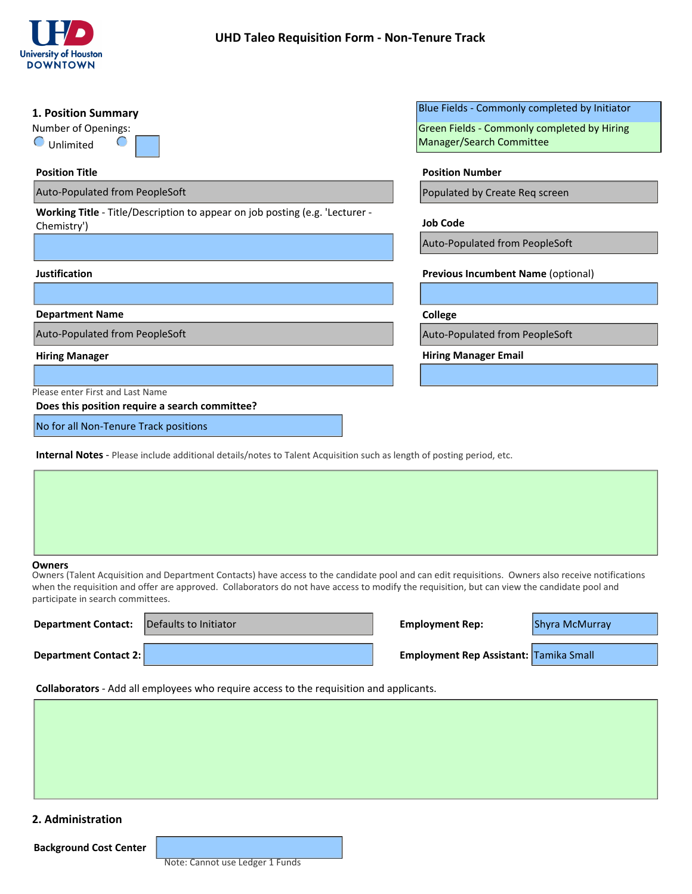

| 1. Position Summary                                                                                                                                                                                                                                                                                                                                      | Blue Fields - Commonly completed by Initiator |  |  |  |
|----------------------------------------------------------------------------------------------------------------------------------------------------------------------------------------------------------------------------------------------------------------------------------------------------------------------------------------------------------|-----------------------------------------------|--|--|--|
| Number of Openings:                                                                                                                                                                                                                                                                                                                                      | Green Fields - Commonly completed by Hiring   |  |  |  |
| $\bigcirc$ Unlimited                                                                                                                                                                                                                                                                                                                                     | Manager/Search Committee                      |  |  |  |
| <b>Position Title</b>                                                                                                                                                                                                                                                                                                                                    | <b>Position Number</b>                        |  |  |  |
| Auto-Populated from PeopleSoft                                                                                                                                                                                                                                                                                                                           | Populated by Create Req screen                |  |  |  |
| Working Title - Title/Description to appear on job posting (e.g. 'Lecturer -<br>Chemistry')                                                                                                                                                                                                                                                              | <b>Job Code</b>                               |  |  |  |
|                                                                                                                                                                                                                                                                                                                                                          | Auto-Populated from PeopleSoft                |  |  |  |
| <b>Justification</b>                                                                                                                                                                                                                                                                                                                                     | <b>Previous Incumbent Name (optional)</b>     |  |  |  |
| <b>Department Name</b>                                                                                                                                                                                                                                                                                                                                   | $\vert \mathbf{v} \vert$<br>College           |  |  |  |
| Auto-Populated from PeopleSoft                                                                                                                                                                                                                                                                                                                           | Auto-Populated from PeopleSoft                |  |  |  |
| <b>Hiring Manager</b>                                                                                                                                                                                                                                                                                                                                    | <b>Hiring Manager Email</b>                   |  |  |  |
|                                                                                                                                                                                                                                                                                                                                                          |                                               |  |  |  |
| Please enter First and Last Name<br>Does this position require a search committee?                                                                                                                                                                                                                                                                       |                                               |  |  |  |
| No for all Non-Tenure Track positions                                                                                                                                                                                                                                                                                                                    |                                               |  |  |  |
| <b>Internal Notes</b> - Please include additional details/notes to Talent Acquisition such as length of posting period, etc.                                                                                                                                                                                                                             |                                               |  |  |  |
|                                                                                                                                                                                                                                                                                                                                                          |                                               |  |  |  |
|                                                                                                                                                                                                                                                                                                                                                          |                                               |  |  |  |
|                                                                                                                                                                                                                                                                                                                                                          |                                               |  |  |  |
|                                                                                                                                                                                                                                                                                                                                                          |                                               |  |  |  |
| <b>Owners</b><br>Owners (Talent Acquisition and Department Contacts) have access to the candidate pool and can edit requisitions. Owners also receive notifications<br>when the requisition and offer are approved. Collaborators do not have access to modify the requisition, but can view the candidate pool and<br>participate in search committees. |                                               |  |  |  |
| Defaults to Initiator<br><b>Department Contact:</b>                                                                                                                                                                                                                                                                                                      | <b>Employment Rep:</b><br>Shyra McMurray      |  |  |  |
| <b>Department Contact 2:</b>                                                                                                                                                                                                                                                                                                                             | Employment Rep Assistant: Tamika Small        |  |  |  |

#### **Owners**

| <b>Department Contact:</b>   | Defaults to Initiator | <b>Employment Rep:</b>                        | Shyra McMurray |
|------------------------------|-----------------------|-----------------------------------------------|----------------|
| <b>Department Contact 2:</b> |                       | <b>Employment Rep Assistant: Tamika Small</b> |                |

**Collaborators** - Add all employees who require access to the requisition and applicants.

# **2. Administration**

**Background Cost Center**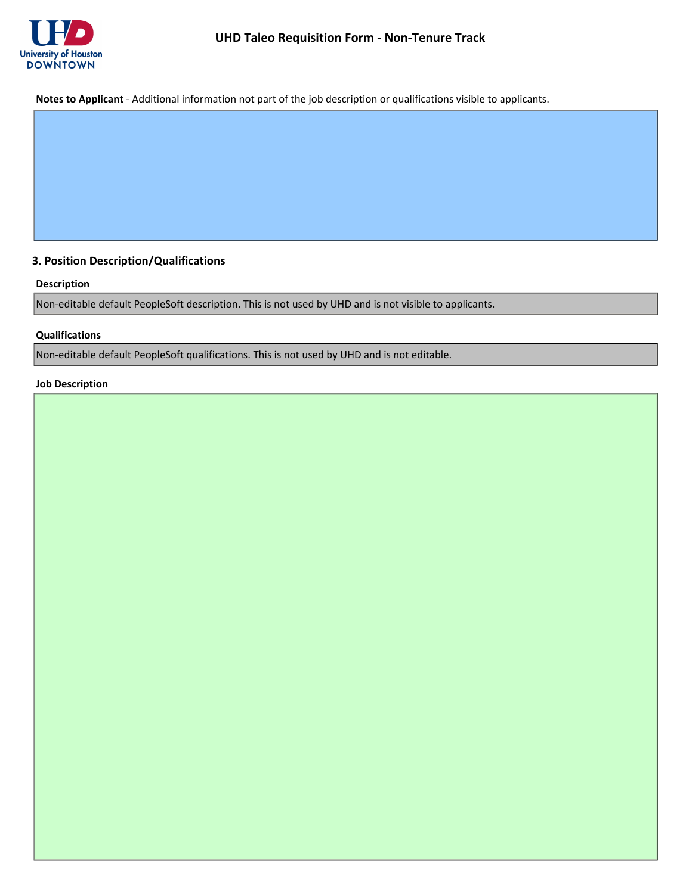

**Notes to Applicant** - Additional information not part of the job description or qualifications visible to applicants.

# **3. Position Description/Qualifications**

# **Description**

Non-editable default PeopleSoft description. This is not used by UHD and is not visible to applicants.

# **Qualifications**

Non-editable default PeopleSoft qualifications. This is not used by UHD and is not editable.

# **Job Description**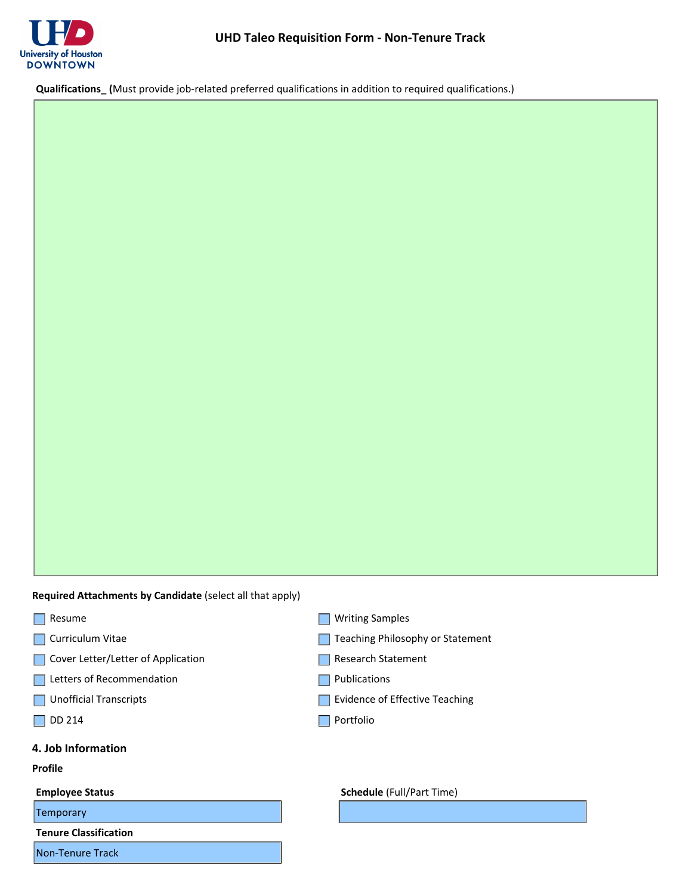

**Qualifications\_ (**Must provide job-related preferred qualifications in addition to required qualifications.)

**Required Attachments by Candidate** (select all that apply)

- Resume
- **Curriculum Vitae**
- Cover Letter/Letter of Application
- Letters of Recommendation
- **Unofficial Transcripts**
- $\Box$  DD 214

### **4. Job Information**

### **Profile**

Temporary

**Tenure Classification**

Non-Tenure Track

- **Writing Samples**
- Teaching Philosophy or Statement
- Research Statement
- **Publications**
- **Evidence of Effective Teaching**
- **Portfolio**

#### **Employee Status Employee Status Schedule** (Full/Part Time)

 $\mathbf{r}$